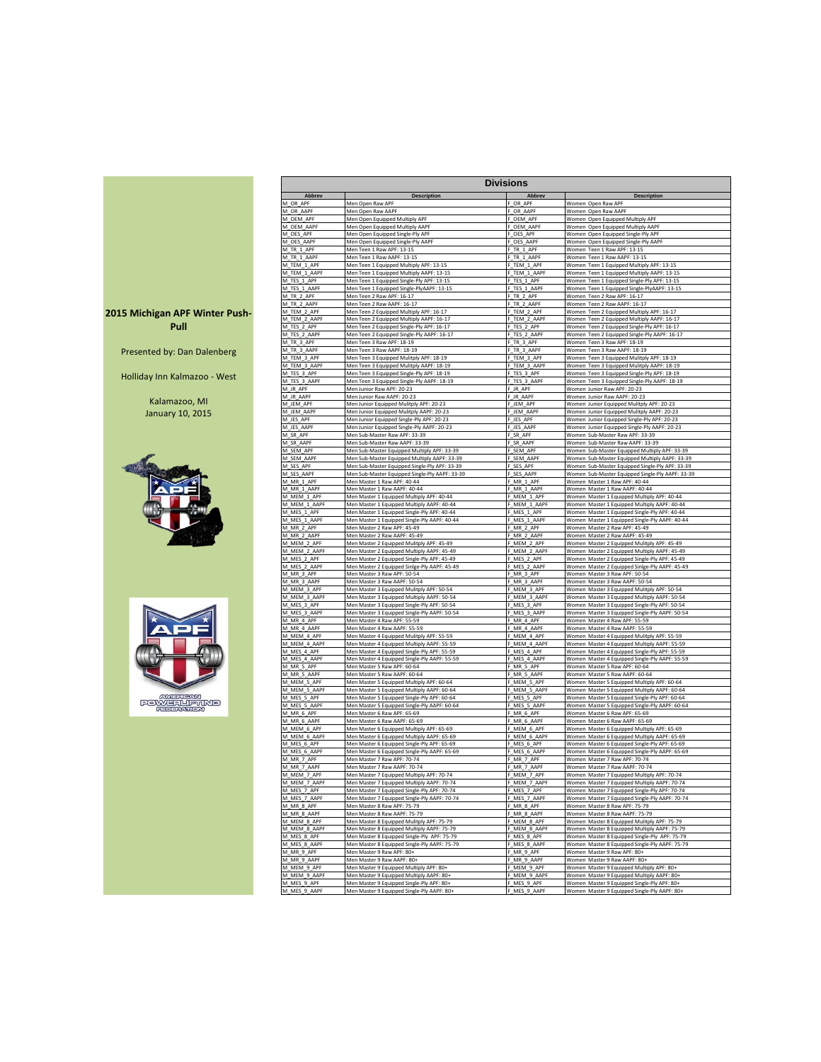|                                        |                              |                                                                                             | <b>Divisions</b>            |                                                                                                 |
|----------------------------------------|------------------------------|---------------------------------------------------------------------------------------------|-----------------------------|-------------------------------------------------------------------------------------------------|
|                                        | Abbrev                       | <b>Description</b>                                                                          | Abbrev                      | <b>Description</b>                                                                              |
|                                        | M_OR_APF<br>M_OR_AAPF        | Men Open Raw APF<br>Men Open Raw AAPF                                                       | OR APF<br>OR_AAPF           | Women Open Raw APF<br>Women Open Raw AAPF                                                       |
|                                        | VI_OEM_APF                   | Men Open Equipped Multiply APF                                                              | OEM_APF                     | Women Open Equipped Multiply APF                                                                |
|                                        | M_OEM_AAPF                   | Men Open Equipped Multiply AAPF                                                             | _OEM_AAPF                   | Women Open Equipped Multiply AAPF                                                               |
|                                        | M_OES_APF<br>M OES AAPF      | Men Open Equipped Single-Ply APF<br>Men Open Equipped Single-Ply AAPF                       | F_OES_APF<br>OES_AAPF       | Women Open Equipped Single-Ply APF<br>Women Open Equipped Single-Ply AAPF                       |
|                                        | M TR 1 APF                   | Men Teen 1 Raw APF: 13-15                                                                   | F_TR_1_APF                  | Women Teen 1 Raw APF: 13-15                                                                     |
|                                        | M TR 1 AAPF                  | Men Teen 1 Raw AAPF: 13-15                                                                  | F TR 1 AAPF                 | Women Teen 1 Raw AAPF: 13-15                                                                    |
|                                        | M_TEM_1_APF<br>M_TEM_1_AAPF  | Men Teen 1 Equipped Multiply APF: 13-15<br>Men Teen 1 Equipped Multiply AAPF: 13-15         | F TEM 1 APF<br>F_TEM_1_AAPF | Women Teen 1 Equipped Multiply APF: 13-15<br>Women Teen 1 Equipped Multiply AAPF: 13-15         |
|                                        | M_TES_1_APF                  | Men Teen 1 Equipped Single-Ply APF: 13-15                                                   | F_TES_1_APF                 | Women Teen 1 Equipped Single-Ply APF: 13-15                                                     |
|                                        | M_TES_1_AAPF                 | Men Teen 1 Equipped Single-PlyAAPF: 13-15<br>Men Teen 2 Raw APF: 16-17                      | F_TES_1_AAPF                | Women Teen 1 Equipped Single-PlyAAPF: 13-15<br>Women Teen 2 Raw APF: 16-17                      |
|                                        | M_TR_2_APF<br>M_TR_2_AAPF    | Men Teen 2 Raw AAPF: 16-17                                                                  | TR_2_APF<br>_TR_2_AAPF      | Women Teen 2 Raw AAPF: 16-17                                                                    |
| 2015 Michigan APF Winter Push-         | M_TEM_2_APF                  | Men Teen 2 Equipped Multiply APF: 16-17                                                     | F_TEM_2_APF                 | Women Teen 2 Equipped Multiply APF: 16-17                                                       |
| Pull                                   | M TEM 2 AAPF<br>M_TES_2_APF  | Men Teen 2 Equipped Multiply AAPF: 16-17<br>Men Teen 2 Equipped Single-Ply APF: 16-17       | F_TEM_2_AAPF<br>F_TES_2_APF | Women Teen 2 Equipped Multiply AAPF: 16-17<br>Women Teen 2 Equipped Single-Ply APF: 16-17       |
|                                        | M_TES_2_AAPF                 | Men Teen 2 Equipped Single-Ply AAPF: 16-17                                                  | F TES 2 AAPF                | Women Teen 2 Equipped Single-Ply AAPF: 16-17                                                    |
|                                        | M_TR_3_APF                   | Men Teen 3 Raw APF: 18-19                                                                   | F_TR_3_APF                  | Women Teen 3 Raw APF: 18-19                                                                     |
| Presented by: Dan Dalenberg            | M_TR_3_AAPF<br>M_TEM_3_APF   | Men Teen 3 Raw AAPF: 18-19<br>Men Teen 3 Equipped Mulitply APF: 18-19                       | F_TR_3_AAPF<br>F_TEM_3_APF  | Women Teen 3 Raw AAPF: 18-19<br>Women Teen 3 Equipped Mulitply APF: 18-19                       |
|                                        | M_TEM_3_AAPF                 | Men Teen 3 Equipped Mulitply AAPF: 18-19                                                    | F TEM 3 AAPF                | Women Teen 3 Equipped Mulitply AAPF: 18-19                                                      |
| Holliday Inn Kalmazoo - West           | M_TES_3_APF                  | Men Teen 3 Equipped Single-Ply APF: 18-19                                                   | F_TES_3_APF                 | Women Teen 3 Equipped Single-Ply APF: 18-19                                                     |
|                                        | M_TES_3_AAPF                 | Men Teen 3 Equipped Single-Ply AAPF: 18-19<br>Men Junior Raw APF: 20-23                     | F_TES_3_AAPF<br>JR_APF      | Women Teen 3 Equipped Single-Ply AAPF: 18-19<br>Women Junior Raw APF: 20-23                     |
|                                        | M_JR_APF<br>M_JR_AAPF        | Men Junior Raw AAPF: 20-23                                                                  | JR_AAPF                     | Women Junior Raw AAPF: 20-23                                                                    |
| Kalamazoo, MI                          | M_JEM_APF                    | Men Junior Equipped Mulitply APF: 20-23                                                     | JEM APF                     | Women Junior Equipped Mulitply APF: 20-23                                                       |
| <b>January 10, 2015</b>                | M_JEM_AAPF<br>M_JES_APF      | Men Junior Equipped Mulitply AAPF: 20-23                                                    | JEM_AAPF<br>JES_APF         | Women Junior Equipped Mulitply AAPF: 20-23                                                      |
|                                        | M_JES_AAPF                   | Men Junior Equipped Single-Ply APF: 20-23<br>Men Junior Equipped Single-Ply AAPF: 20-23     | JES_AAPF                    | Women Junior Equipped Single-Ply APF: 20-23<br>Women Junior Equipped Single-Ply AAPF: 20-23     |
|                                        | M_SR_APF                     | Men Sub-Master Raw APF: 33-39                                                               | F_SR_APF                    | Women Sub-Master Raw APF: 33-39                                                                 |
|                                        | M SR AAPF<br>M_SEM_APF       | Men Sub-Master Raw AAPF: 33-39<br>Men Sub-Master Equipped Multiply APF: 33-39               | F SR AAPF<br>F SEM APF      | Women Sub-Master Raw AAPF: 33-39<br>Women Sub-Master Equipped Multiply APF: 33-39               |
|                                        | M SEM AAPF                   | Men Sub-Master Equipped Multiply AAPF: 33-39                                                | F_SEM_AAPF                  | Women Sub-Master Equipped Multiply AAPF: 33-39                                                  |
|                                        | M_SES_APF                    | Men Sub-Master Equipped Single-Ply APF: 33-39                                               | F_SES_APF                   | Women Sub-Master Equipped Single-Ply APF: 33-39                                                 |
|                                        | M_SES_AAPF<br>M_MR_1_APF     | Men Sub-Master Equipped Single-Ply AAPF: 33-39<br>Men Master 1 Raw APF: 40-44               | F_SES_AAPF<br>F_MR_1_APF    | Women Sub-Master Equipped Single-Ply AAPF: 33-39<br>Women Master 1 Raw APF: 40-44               |
|                                        | M_MR_1_AAPF                  | Men Master 1 Raw AAPF: 40-44                                                                | MR_1_AAPF                   | Women Master 1 Raw AAPF: 40-44                                                                  |
|                                        | M_MEM_1_APF                  | Men Master 1 Equipped Multiply APF: 40-44                                                   | _MEM_1_APF                  | Women Master 1 Equipped Multiply APF: 40-44                                                     |
|                                        | M_MEM_1_AAPF<br>M_MES_1_APF  | Men Master 1 Equipped Multiply AAPF: 40-44<br>Men Master 1 Equipped Single-Ply APF: 40-44   | F_MEM_1_AAPF<br>MES 1 APF   | Women Master 1 Equipped Multiply AAPF: 40-44<br>Women Master 1 Equipped Single-Ply APF: 40-44   |
|                                        | M_MES_1_AAPF                 | Men Master 1 Equipped Single-Ply AAPF: 40-44                                                | MES_1_AAPF                  | Women Master 1 Equipped Single-Ply AAPF: 40-44                                                  |
|                                        | M_MR_2_APF                   | Men Master 2 Raw APF: 45-49                                                                 | F_MR_2_APF                  | Women Master 2 Raw APF: 45-49                                                                   |
|                                        | M_MR_2_AAPF<br>M_MEM_2_APF   | Men Master 2 Raw AAPF: 45-49<br>Men Master 2 Equipped Mulitply APF: 45-49                   | MR_2_AAPF<br>MEM 2 APF      | Women Master 2 Raw AAPF: 45-49<br>Women Master 2 Equipped Mulitply APF: 45-49                   |
|                                        | M_MEM_2_AAPF                 | Men Master 2 Equipped Multiply AAPF: 45-49                                                  | MEM 2 AAPF                  | Women Master 2 Equipped Multiply AAPF: 45-49                                                    |
|                                        | M_MES_2_APF                  | Men Master 2 Equipped Single-Ply APF: 45-49                                                 | F_MES_2_APF                 | Women Master 2 Equipped Single-Ply APF: 45-49                                                   |
|                                        | M_MES_2_AAPF<br>M_MR_3_APF   | Men Master 2 Equipped Sinlge-Ply AAPF: 45-49<br>Men Master 3 Raw APF: 50-54                 | F_MES_2_AAPF<br>MR_3_APF    | Women Master 2 Equipped Sinlge-Ply AAPF: 45-49<br>Women Master 3 Raw APF: 50-54                 |
|                                        | M_MR_3_AAPF                  | Men Master 3 Raw AAPF: 50-54                                                                | MR_3_AAPF                   | Women Master 3 Raw AAPF: 50-54                                                                  |
|                                        | M_MEM_3_APF                  | Men Master 3 Equipped Mulitply APF: 50-54                                                   | _MEM_3_APF                  | Women Master 3 Equipped Mulitply APF: 50-54                                                     |
|                                        | M_MEM_3_AAPF<br>VI_MES_3_APF | Men Master 3 Equipped Multiply AAPF: 50-54<br>Men Master 3 Equipped Single-Ply APF: 50-54   | MEM_3_AAPF<br>MES_3_APF     | Women Master 3 Equipped Multiply AAPF: 50-54<br>Women Master 3 Equipped Single-Ply APF: 50-54   |
|                                        | M_MES_3_AAPF                 | Men Master 3 Equipped Single-Ply AAPF: 50-54                                                | MES_3_AAPF                  | Women Master 3 Equipped Single-Ply AAPF: 50-54                                                  |
|                                        | M_MR_4_APF<br>M MR 4 AAPF    | Men Master 4 Raw APF: 55-59                                                                 | MR_4_APF<br>F_MR_4_AAPF     | Women Master 4 Raw APF: 55-59                                                                   |
|                                        | M MEM 4 APF                  | Men Master 4 Raw AAPF: 55-59<br>Men Master 4 Equipped Mulitply APF: 55-59                   | MEM 4 APF                   | Women Master 4 Raw AAPF: 55-59<br>Women Master 4 Equipped Mulitply APF: 55-59                   |
|                                        | M MEM 4 AAPF                 | Men Master 4 Equipped Multiply AAPF: 55-59                                                  | MEM 4 AAPF                  | Women Master 4 Equipped Multiply AAPF: 55-59                                                    |
|                                        | M_MES_4_APF                  | Men Master 4 Equipped Single-Ply APF: 55-59                                                 | F_MES_4_APF                 | Women Master 4 Equipped Single-Ply APF: 55-59                                                   |
|                                        | M_MES_4_AAPF<br>M_MR_5_APF   | Men Master 4 Equipped Single-Ply AAPF: 55-59<br>Men Master 5 Raw APF: 60-64                 | F_MES_4_AAPF<br>F_MR_5_APF  | Women Master 4 Equipped Single-Ply AAPF: 55-59<br>Women Master 5 Raw APF: 60-64                 |
|                                        | M_MR_5_AAPF                  | Men Master 5 Raw AAPF: 60-64                                                                | F_MR_5_AAPF                 | Women Master 5 Raw AAPF: 60-64                                                                  |
|                                        | M_MEM_5_APF<br>M_MEM_5_AAPF  | Men Master 5 Equipped Multiply APF: 60-64                                                   | MEM_5_APF                   | Women Master 5 Equipped Multiply APF: 60-64<br>Women Master 5 Equipped Multiply AAPF: 60-64     |
| <b>AMERICAN</b>                        | M_MES_5_APF                  | Men Master 5 Equipped Multiply AAPF: 60-64<br>Men Master 5 Equipped Single-Ply APF: 60-64   | _MEM_5_AAPF<br>MES_5_APF    | Women Master 5 Equipped Single-Ply APF: 60-64                                                   |
| <b>FOWERLIAMME</b><br><b>HEPLEAMON</b> | M_MES_5_AAPF                 | Men Master 5 Equipped Single-Ply AAPF: 60-64                                                | MES_5_AAPF                  | Women Master 5 Equipped Single-Ply AAPF: 60-64                                                  |
|                                        | M_MR_6_APF<br>M_MR_6_AAPF    | Men Master 6 Raw APF: 65-69<br>Men Master 6 Raw AAPF: 65-69                                 | MR_6_APF<br>MR 6 AAPF       | Women Master 6 Raw APF: 65-69<br>Women Master 6 Raw AAPF: 65-69                                 |
|                                        | M_MEM_6_APF                  | Men Master 6 Equipped Multiply APF: 65-69                                                   | MEM_6_APF                   | Women Master 6 Equipped Multiply APF: 65-69                                                     |
|                                        | M_MEM_6_AAPF                 | Men Master 6 Equipped Multiply AAPF: 65-69                                                  | F_MEM_6_AAPF                | Women Master 6 Equipped Multiply AAPF: 65-69                                                    |
|                                        | M MES 6 APF<br>M_MES_6_AAPF  | Men Master 6 Equipped Single-Ply APF: 65-69<br>Men Master 6 Equipped Single-Ply AAPF: 65-69 | F MES 6 APF<br>F_MES_6_AAPF | Women Master 6 Equipped Single-Ply APF: 65-69<br>Women Master 6 Equipped Single-Ply AAPF: 65-69 |
|                                        | M_MR_7_APF                   | Men Master 7 Raw APF: 70-74                                                                 | F_MR_7_APF                  | Women Master 7 Raw APF: 70-74                                                                   |
|                                        | M_MR_7_AAPF                  | Men Master 7 Raw AAPF: 70-74                                                                | F_MR_7_AAPF                 | Women Master 7 Raw AAPF: 70-74                                                                  |
|                                        | M_MEM_7_APF<br>M_MEM_7_AAPF  | Men Master 7 Equipped Multiply APF: 70-74<br>Men Master 7 Equipped Multiply AAPF: 70-74     | _MEM_7_APF<br>MEM_7_AAPF    | Women Master 7 Equipped Multiply APF: 70-74<br>Women Master 7 Equipped Multiply AAPF: 70-74     |
|                                        | M_MES_7_APF                  | Men Master 7 Equipped Single-Ply APF: 70-74                                                 | $MES_7APF$                  | Women Master 7 Equipped Single-Ply APF: 70-74                                                   |
|                                        | M MES 7 AAPF                 | Men Master 7 Equipped Single-Ply AAPF: 70-74                                                | F_MES_7_AAPF                | Women Master 7 Equipped Single-Ply AAPF: 70-74                                                  |
|                                        | M_MR_8_APF<br>M MR 8 AAPF    | Men Master 8 Raw APF: 75-79<br>Men Master 8 Raw AAPF: 75-79                                 | F_MR_8_APF<br>MR_8_AAPF     | Women Master 8 Raw APF: 75-79<br>Women Master 8 Raw AAPF: 75-79                                 |
|                                        | M_MEM_8_APF                  | Men Master 8 Equipped Mulitply APF: 75-79                                                   | F_MEM_8_APF                 | Women Master 8 Equipped Mulitply APF: 75-79                                                     |
|                                        | M MEM 8 AAPF                 | Men Master 8 Equipped Multiply AAPF: 75-79                                                  | F_MEM_8_AAPF                | Women Master 8 Equipped Multiply AAPF: 75-79                                                    |
|                                        | M_MES_8_APF<br>M_MES_8_AAPF  | Men Master 8 Equipped Single-Ply APF: 75-79<br>Men Master 8 Equipped Single-Ply AAPF: 75-79 | F MES 8 APF<br>F_MES_8_AAPF | Women Master 8 Equipped Single-Ply APF: 75-79<br>Women Master 8 Equipped Single-Ply AAPF: 75-79 |
|                                        | M_MR_9_APF                   | Men Master 9 Raw APF: 80+                                                                   | F_MR_9_APF                  | Women Master 9 Raw APF: 80+                                                                     |
|                                        | M_MR_9_AAPF                  | Men Master 9 Raw AAPF: 80+                                                                  | F MR 9 AAPF                 | Women Master 9 Raw AAPF: 80+                                                                    |
|                                        | M_MEM_9_APF<br>M_MEM_9_AAPF  | Men Master 9 Equipped Multiply APF: 80+<br>Men Master 9 Equipped Multiply AAPF: 80+         | F_MEM_9_APF<br>MEM_9_AAPF   | Women Master 9 Equipped Multiply APF: 80+<br>Women Master 9 Equipped Multiply AAPF: 80+         |
|                                        | M_MES_9_APF                  | Men Master 9 Equipped Single-Ply APF: 80+                                                   | MES_9_APF                   | Women Master 9 Equipped Single-Ply APF: 80+                                                     |
|                                        | M_MES_9_AAPF                 | Men Master 9 Equipped Single-Ply AAPF: 80+                                                  | F_MES_9_AAPF                | Women Master 9 Equipped Single-Ply AAPF: 80+                                                    |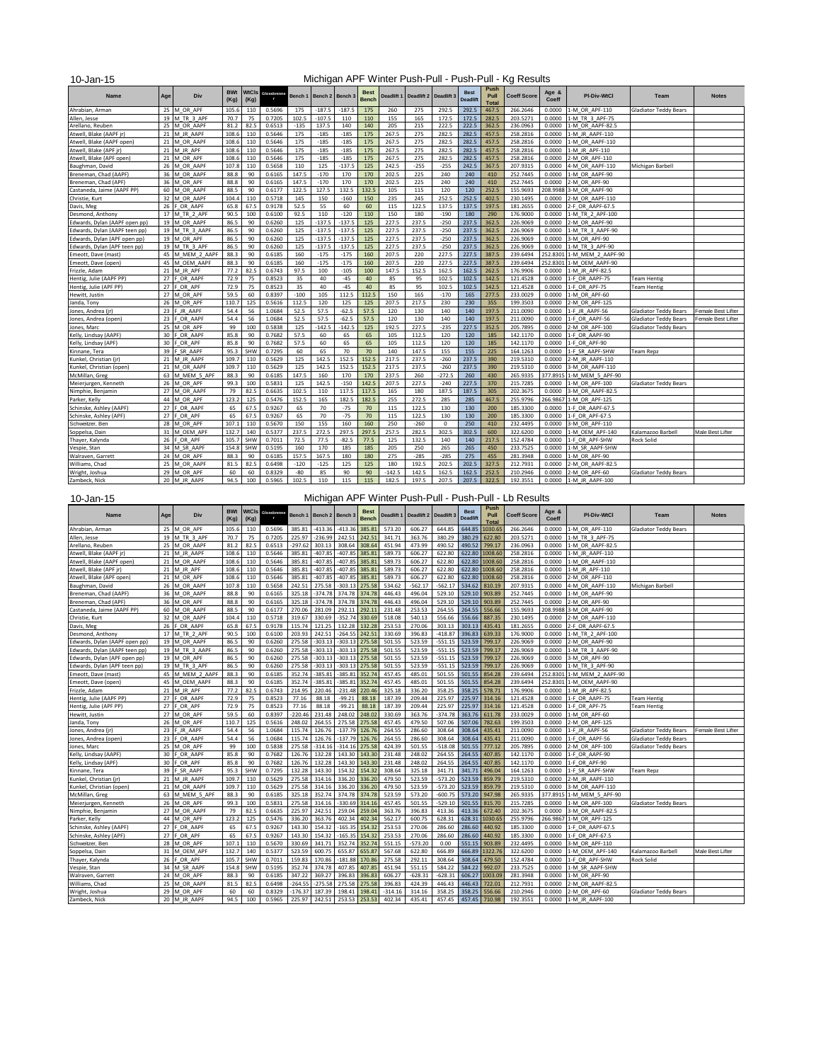| 10-Jan-15                     |     |                 |                    |      |                         |         |                 |          |                      |          |                                  |             |                                |                              | Michigan APF Winter Push-Pull - Push-Pull - Kg Results |                |                    |                              |                    |
|-------------------------------|-----|-----------------|--------------------|------|-------------------------|---------|-----------------|----------|----------------------|----------|----------------------------------|-------------|--------------------------------|------------------------------|--------------------------------------------------------|----------------|--------------------|------------------------------|--------------------|
| <b>Name</b>                   | Age | Div             | <b>BWt</b><br>(Kg) | (Kg) | <b>NtCls</b> Glossbienn | Bench 1 | Bench 2 Bench 3 |          | <b>Best</b><br>Bench |          | Deadlift 1 Deadlift 2 Deadlift 3 |             | <b>Best</b><br><b>Deadlift</b> | Push<br>Pull<br><b>Total</b> | <b>Coeff Score</b>                                     | Age &<br>Coeff | <b>PI-Div-WtCl</b> | <b>Team</b>                  | <b>Notes</b>       |
| Ahrabian, Arman               |     | 25 M OR APF     | 105.6              | 110  | 0.5696                  | 175     | $-187.5$        | $-187.5$ | 175                  | 260      | 275                              | 292.5       | 292.5                          | 467.5                        | 266.2646                                               | 0.0000         | 1-M OR APF-110     | <b>Gladiator Teddy Bears</b> |                    |
| Allen, Jesse                  |     | 19 M TR 3 APF   | 70.7               | 75   | 0.7205                  | 102.5   | $-107.5$        | 110      | 110                  | 155      | 165                              | 172.5       | 172.5                          | 282.5                        | 203.5271                                               | 0.0000         | 1-M TR 3 APF-75    |                              |                    |
| Arellano, Reuben              |     | 25 M OR AAPF    | 81.2               | 82.5 | 0.6513                  | $-135$  | 137.5           | 140      | 140                  | 205      | 215                              | 222.5       | 222.5                          | 362.5                        | 236.0963                                               | 0.0000         | 1-M_OR_AAPF-82.5   |                              |                    |
| Atwell, Blake (AAPF jr)       |     | 21 M JR AAPF    | 108.6              | 110  | 0.5646                  | 175     | $-185$          | $-185$   | 175                  | 267.5    | 275                              | 282.5       | 282.5                          | 457.5                        | 258.2816                                               | 0.0000         | 1-M JR AAPF-110    |                              |                    |
| Atwell, Blake (AAPF open)     |     | 21 M OR AAPF    | 108.6              | 110  | 0.5646                  | 175     | $-185$          | $-185$   | 175                  | 267.5    | 275                              | 282.5       | 282.5                          | 457.5                        | 258.2816                                               | 0.0000         | 1-M OR_AAPF-110    |                              |                    |
| Atwell, Blake (APF jr)        |     | 21 M JR APF     | 108.6              | 110  | 0.5646                  | 175     | $-185$          | $-185$   | 175                  | 267.5    | 275                              | 282.5       | 282.5                          | 457.5                        | 258.2816                                               | 0.0000         | 1-M JR APF-110     |                              |                    |
| Atwell, Blake (APF open)      | 21  | M OR APF        | 108.6              | 110  | 0.5646                  | 175     | $-185$          | $-185$   | 175                  | 267.5    | 275                              | 282.5       | 282.5                          | 457.5                        | 258.2816                                               | 0.0000         | 2-M OR APF-110     |                              |                    |
| Baughman, David               | 26  | M OR AAPF       | 107.8              | 110  | 0.5658                  | 110     | 125             | $-137.5$ | 125                  | 242.5    | $-255$                           | $-255$      | 242.5                          | 367.5                        | 207.9315                                               | 0.0000         | 4-M OR AAPF-110    | Michigan Barbell             |                    |
| Breneman, Chad (AAPF)         | 36  | M OR AAPF       | 88.8               | 90   | 0.6165                  | 147.5   | $-170$          | 170      | 170                  | 202.5    | 225                              | 240         | 240                            | 410                          | 252.7445                                               | 0.0000         | 1-M OR AAPF-90     |                              |                    |
| Breneman, Chad (APF)          | 36  | M OR APF        | 88.8               | 90   | 0.6165                  | 147.5   | $-170$          | 170      | 170                  | 202.5    | 225                              | 240         | 240                            | 410                          | 252.7445                                               | 0.0000         | 2-M OR APF-90      |                              |                    |
| Castaneda, Jaime (AAPF PP)    | 60  | M OR AAPF       | 88.5               | 90   | 0.6177                  | 122.5   | 127.5           | 132.5    | 132.5                | 105      | 115                              | 120         | 120                            | 252.5                        | 155.9693                                               | 208.9988       | 3-M OR AAPF-90     |                              |                    |
| Christie, Kurt                | 32  | M OR AAPF       | 104.4              | 110  | 0.5718                  | 145     | 150             | $-160$   | 150                  | 235      | 245                              | 252.5       | 252.5                          | 402.5                        | 230.1495                                               | 0.0000         | 2-M OR AAPF-110    |                              |                    |
| Davis, Meg                    |     | 26 F OR AAPF    | 65.8               | 67.5 | 0.9178                  | 52.5    | 55              | 60       | 60                   | 115      | 122.5                            | 137.5       | 137.5                          | 197.5                        | 181.2655                                               | 0.0000         | 2-F OR AAPF-67.5   |                              |                    |
| Desmond, Anthony              | 17  | M TR 2 APF      | 90.5               | 100  | 0.6100                  | 92.5    | 110             | $-120$   | 110                  | 150      | 180                              | $-190$      | 180                            | 290                          | 176.9000                                               | 0.0000         | 1-M TR 2 APF-100   |                              |                    |
| Edwards, Dylan (AAPF open pp) |     | 19 M OR AAPF    | 86.5               | 90   | 0.6260                  | 125     | $-137.5$        | $-137.5$ | 125                  | 227.5    | 237.5                            | $-250$      | 237.5                          | 362.5                        | 226.9069                                               | 0.0000         | 2-M OR AAPF-90     |                              |                    |
| Edwards, Dylan (AAPF teen pp) |     | 19 M_TR_3_AAPF  | 86.5               | 90   | 0.6260                  | 125     | $-137.5$        | $-137.5$ | 125                  | 227.5    | 237.5                            | $-250$      | 237.5                          | 362.5                        | 226.9069                                               | 0.0000         | 1-M TR 3 AAPF-90   |                              |                    |
| Edwards, Dylan (APF open pp)  |     | 19 M OR APF     | 86.5               | 90   | 0.6260                  | 125     | $-137.5$        | $-137.5$ | 125                  | 227.5    | 237.5                            | $-250$      | 237.5                          | 362.5                        | 226,9069                                               | 0.0000         | 3-M OR APF-90      |                              |                    |
| Edwards, Dylan (APF teen pp)  |     | 19 M TR 3 APF   | 86.5               | 90   | 0.6260                  | 125     | $-137.5$        | $-137.5$ | 125                  | 227.5    | 237.5                            | $-250$      | 237.5                          | 362.5                        | 226.9069                                               | 0.0000         | 1-M TR 3 APF-90    |                              |                    |
| Emeott, Dave (mast)           |     | 45 M MEM 2 AAPF | 88.3               | 90   | 0.6185                  | 160     | $-175$          | $-175$   | 160                  | 207.5    | 220                              | 227.5       | 227.5                          | 387.5                        | 239.6494                                               | 252.8301       | 1-M MEM 2 AAPF-90  |                              |                    |
| Emeott, Dave (open)           | 45  | M OEM AAPF      | 88.3               | 90   | 0.6185                  | 160     | $-175$          | $-175$   | 160                  | 207.5    | 220                              | 227.5       | 227.5                          | 387.5                        | 239.6494                                               | 252.8301       | 1-M OEM AAPF-90    |                              |                    |
| Frizzle, Adam                 | 21  | M JR APF        | 77.2               | 82.5 | 0.6743                  | 97.5    | 100             | $-105$   | 100                  | 147.5    | 152.5                            | 162.5       | 162.5                          | 262.5                        | 176,9906                                               | 0.0000         | 1-M JR APF-82.5    |                              |                    |
| Hentig, Julie (AAPF PP)       |     | 27 F_OR_AAPF    | 72.9               | 75   | 0.8523                  | 35      | 40              | $-45$    | 40                   | 85       | 95                               | 102.5       | 102.5                          | 142.5                        | 121.4528                                               | 0.0000         | 1-F OR AAPF-75     | <b>Team Hentig</b>           |                    |
| Hentig, Julie (APF PP)        | 27  | F OR APF        | 72.9               | 75   | 0.8523                  | 35      | 40              | $-45$    | 40                   | 85       | 95                               | 102.5       | 102.5                          | 142.5                        | 121.4528                                               | 0.0000         | 1-F OR APF-75      | <b>Team Hentig</b>           |                    |
| Hewitt, Justin                | 27  | M OR APF        | 59.5               | 60   | 0.8397                  | $-100$  | 105             | 112.5    | 112.5                | 150      | 165                              | $-170$      | 165                            | 277.5                        | 233.0029                                               | 0.0000         | 1-M OR APF-60      |                              |                    |
| Janda, Tony                   | 26  | M OR APF        | 110.7              | 125  | 0.5616                  | 112.5   | 120             | 125      | 125                  | 207.5    | 217.5                            | 230         | 230                            | 355                          | 199.3503                                               | 0.0000         | 2-M OR APF-125     |                              |                    |
| Jones, Andrea (jr)            | 23  | F JR AAPF       | 54.4               | 56   | 1.0684                  | 52.5    | 57.5            | $-62.5$  | 57.5                 | 120      | 130                              | 140         | 140                            | 197.5                        | 211.0090                                               | 0.0000         | 1-F JR AAPF-56     | <b>Gladiator Teddy Bears</b> | Female Best Lifter |
| Jones, Andrea (open)          | 23  | F OR AAPF       | 54.4               | 56   | 1.0684                  | 52.5    | 57.5            | $-62.5$  | 57.5                 | 120      | 130                              | 140         | 140                            | 197.5                        | 211,0090                                               | 0.0000         | 1-F OR AAPF-56     | <b>Gladiator Teddy Bears</b> | Female Best Lifter |
| Jones, Marc                   | 25  | M OR APF        | 99                 | 100  | 0.5838                  | 125     | $-142.5$        | $-142.5$ | 125                  | 192.5    | 227.5                            | $-235$      | 227.5                          | 352.5                        | 205.7895                                               | 0.0000         | 2-M OR APF-100     | <b>Gladiator Teddy Bears</b> |                    |
| Kelly, Lindsay (AAPF)         | 30  | F OR AAPF       | 85.8               | 90   | 0.7682                  | 57.5    | 60              | 65       | 65                   | 105      | 112.5                            | 120         | 120                            | 185                          | 142.1170                                               | 0.0000         | 1-F OR AAPF-90     |                              |                    |
| Kelly, Lindsay (APF)          | 30  | F OR APF        | 85.8               | 90   | 0.7682                  | 57.5    | 60              | 65       | 65                   | 105      | 112.5                            | 120         | 120                            | 185                          | 142.1170                                               | 0.0000         | 1-F OR APF-90      |                              |                    |
| Kinnane, Tera                 | 39  | F SR AAPF       | 95.3               | SHW  | 0.7295                  | 60      | 65              | 70       | 70                   | 140      | 147.5                            | 155         | 155                            | 225                          | 164.1263                                               | 0.0000         | 1-F SR AAPF-SHW    | Team Repz                    |                    |
| Kunkel, Christian (jr)        | 21  | M JR AAPF       | 109.7              | 110  | 0.5629                  | 125     | 142.5           | 152.5    | 152.5                | 217.5    | 237.5                            | $-260$      | 237.5                          | 390                          | 219.5310                                               | 0.0000         | 2-M JR AAPF-110    |                              |                    |
| Kunkel, Christian (open)      |     | 21 M OR AAPF    | 109.7              | 110  | 0.5629                  | 125     | 142.5           | 152.5    | 152.5                | 217.5    | 237.5                            | $-260$      | 237.5                          | 390                          | 219.5310                                               | 0.0000         | 3-M OR AAPF-110    |                              |                    |
| McMillan, Greg                | 63  | M MEM 5 APF     | 88.3               | 90   | 0.6185                  | 147.5   | 160             | 170      | 170                  | 237.5    | 260                              | $-272.5$    | 260                            | 430                          | 265.9335                                               | 377.8915       | 1-M MEM 5 APF-90   |                              |                    |
| Meierjurgen, Kenneth          |     | 26 M OR APF     | 99.3               | 100  | 0.5831                  | 125     | 142.5           | $-150$   | 142.5                | 207.5    | 227.5                            | $-240$      | 227.5                          | 370                          | 215.7285                                               | 0.0000         | 1-M OR APF-100     | <b>Gladiator Teddy Bears</b> |                    |
| Nimphie, Benjamin             | 27  | M OR AAPF       | 79                 | 82.5 | 0.6635                  | 102.5   | 110             | 117.5    | 117.5                | 165      | 180                              | 187.5       | 187.5                          | 305                          | 202.3675                                               | 0.0000         | 3-M OR AAPF-82.5   |                              |                    |
| Parker, Kelly                 | 44  | M OR APF        | 123.2              | 125  | 0.5476                  | 152.5   | 165             | 182.5    | 182.5                | 255      | 272.5                            | 285         | 285                            | 467.5                        | 255.9796                                               | 266.9867       | 1-M OR APF-125     |                              |                    |
| Schinske, Ashley (AAPF)       | 27  | F OR AAPF       | 65                 | 67.5 | 0.9267                  | 65      | 70              | $-75$    | 70                   | 115      | 122.5                            | 130         | 130                            | 200                          | 185.3300                                               | 0.0000         | 1-F OR AAPF-67.5   |                              |                    |
| Schinske, Ashley (APF)        | 27  | F OR APF        | 65                 | 67.5 | 0.9267                  | 65      | 70              | $-75$    | 70                   | 115      | 122.5                            | 130         | 130                            | 200                          | 185.3300                                               | 0.0000         | 1-F OR APF-67.5    |                              |                    |
| Schweitzer, Ben               | 28  | M OR APF        | 107.1              | 110  | 0.5670                  | 150     | 155             | 160      | 160                  | 250      | $-260$                           | $\mathbf 0$ | 250                            | 410                          | 232.4495                                               | 0.0000         | 3-M OR APF-110     |                              |                    |
| Soppelsa, Dain                |     | 31 M OEM APF    | 132.7              | 140  | 0.5377                  | 237.5   | 272.5           | 297.5    | 297.5                | 257.5    | 282.5                            | 302.5       | 302.5                          | 600                          | 322.6200                                               | 0.0000         | 1-M OEM APF-140    | Kalamazoo Barbell            | Male Best Lifter   |
| Thayer, Kalynda               | 26  | F OR APF        | 105.7              | SHW  | 0.7011                  | 72.5    | 77.5            | $-82.5$  | 77.5                 | 125      | 132.5                            | 140         | 140                            | 217.5                        | 152.4784                                               | 0.0000         | 1-F OR APF-SHW     | <b>Rock Solid</b>            |                    |
| Vespie, Stan                  | 34  | M SR AAPF       | 154.8              | SHW  | 0.5195                  | 160     | 170             | 185      | 185                  | 205      | 250                              | 265         | 265                            | 450                          | 233.7525                                               | 0.0000         | 1-M SR AAPF-SHW    |                              |                    |
| Walraven, Garrett             | 24  | M OR APF        | 88.3               | 90   | 0.6185                  | 157.5   | 167.5           | 180      | 180                  | 275      | $-285$                           | $-285$      | 275                            | 455                          | 281.3948                                               | 0.0000         | 1-M OR APF-90      |                              |                    |
| Williams, Chad                | 25  | M OR AAPF       | 81.5               | 82.5 | 0.6498                  | $-120$  | $-125$          | 125      | 125                  | 180      | 192.5                            | 202.5       | 202.5                          | 327.5                        | 212.7931                                               | 0.0000         | 2-M OR AAPF-82.5   |                              |                    |
| Wright, Joshua                | 29  | M OR APF        | 60                 | 60   | 0.8329                  | -80     | 85              | 90       | 90                   | $-142.5$ | 142.5                            | 162.5       | 162.5                          | 252.5                        | 210.2946                                               | 0.0000         | 2-M OR APF-60      | <b>Gladiator Teddy Bears</b> |                    |
| Zambeck, Nick                 |     | 20 M JR AAPF    | 94.5               | 100  | 0.5965                  | 102.5   | 110             | 115      | 115                  | 182.5    | 197.5                            | 207.5       | 207.5                          | 322.5                        | 192.3551                                               | 0.0000         | 1-M JR AAPF-100    |                              |                    |

10-Jan-15

Michigan APF Winter Push-Pull - Push-Pull - Lb Results

| Name                          | Age  | Div                  | <b>BWt</b> | <b>NtCIs</b> | Glossbrenr | Bench 1   | Bench 2 Bench 3 |                  | <b>Best</b>  | Deadlift 1 | Deadlift 2 | Deadlift 3 | <b>Best</b><br><b>Deadlift</b> | Push<br>Pull | <b>Coeff Score</b> | Age &<br>Coeff | PI-Div-WtCl       | <b>Team</b>                  | <b>Notes</b>       |
|-------------------------------|------|----------------------|------------|--------------|------------|-----------|-----------------|------------------|--------------|------------|------------|------------|--------------------------------|--------------|--------------------|----------------|-------------------|------------------------------|--------------------|
|                               |      |                      | (Kg)       | (Kg)         |            |           |                 |                  | <b>Bench</b> |            |            |            |                                | <b>Total</b> |                    |                |                   |                              |                    |
| Ahrabian, Arman               |      | 25 M OR APF          | 105.6      | 110          | 0.5696     | 385.81    | $-413.36$       | $-413.36$        | 385.81       | 573.20     | 606.27     | 644.85     | 644.85                         | 1030.65      | 266.2646           | 0.0000         | 1-M OR APF-110    | <b>Gladiator Teddy Bears</b> |                    |
| Allen, Jesse                  | 19   | M TR 3 APF           | 70.7       | 75           | 0.7205     | 225.97    | $-236.99$       | 242.51           | 242.51       | 341.71     | 363.76     | 380.29     | 380.29                         | 622.80       | 203.5271           | 0.0000         | -M TR 3 APF-75    |                              |                    |
| Arellano, Reuben              |      | 25 M OR AAPF         | 81.2       | 82.5         | 0.6513     | 297.62    | 303.13          | 308.64           | 308.64       | 451.94     | 473.99     | 490.52     | 490.52                         | 799.17       | 236.0963           | 0.0000         | I-M OR AAPF-82.5  |                              |                    |
| Atwell, Blake (AAPF jr)       |      | 21 M JR AAPF         | 108.6      | 110          | 0.5646     | 385.81    | $-407.85$       | $-407.85$        | 385.81       | 589.73     | 606.27     | 622.80     | 622.80                         | 1008.60      | 258.2816           | 0.0000         | 1-M JR AAPF-110   |                              |                    |
| Atwell, Blake (AAPF open)     |      | 21 M OR AAPF         | 108.6      | 110          | 0.5646     | 385.81    | $-407.85$       | $-407.85$        | 385.81       | 589.73     | 606.27     | 622.80     | 622.80                         | 1008.60      | 258.2816           | 0.0000         | 1-M OR AAPF-110   |                              |                    |
| Atwell, Blake (APF ir         |      | 21 M JR APF          | 108.6      | 110          | 0.5646     | 385.81    | 407.85          | $-407.85$        | 385.81       | 589.73     | 606.27     | 622.80     | 622.80                         | 1008.60      | 258.2816           | 0.0000         | I-M JR APF-110    |                              |                    |
| Atwell, Blake (APF open)      |      | 21 M OR APF          | 108.6      | 110          | 0.5646     | 385.81    | $-407.85$       | $-407.85$        | 385.81       | 589.73     | 606.27     | 622.80     | 622.80                         | 1008.60      | 258.2816           | 0.0000         | 2-M OR APF-110    |                              |                    |
| Baughman, David               |      | 26 M OR AAPF         | 107.8      | 110          | 0.5658     | 242.51    | 275.58          | $-303.13$        | 275.58       | 534.62     | $-562.17$  | $-562.17$  | 534.62                         | 810.19       | 207.9315           | 0.0000         | 4-M OR AAPF-110   | Michigan Barbell             |                    |
| Breneman, Chad (AAPF)         |      | 36 M OR AAPF         | 88.8       | 90           | 0.6165     | 325.18    | $-374.78$       | 374.78 374.78    |              | 446.43     | 496.04     | 529.10     | 529.10                         | 903.89       | 252.7445           | 0.0000         | -M OR AAPF-90     |                              |                    |
| Breneman, Chad (APF)          |      | 36 M OR APF          | 88.8       | 90           | 0.6165     | 325.18    | $-374.78$       | 374.78           | 374.78       | 446.43     | 496.04     | 529.10     | 529.10                         | 903.89       | 252.7445           | 0.0000         | 2-M OR APF-90     |                              |                    |
| Castaneda, Jaime (AAPF PP)    |      | 60 M OR AAPF         | 88.5       | 90           | 0.6177     | 270.06    | 281.09          | 292.11           | 292.11       | 231.48     | 253.53     | 264.55     | 264.55                         | 556.66       | 155.9693           | 208.9988       | 3-M OR AAPF-90    |                              |                    |
| Christie, Kurt                |      | 32 M OR AAPF         | 104.4      | 110          | 0.5718     | 319.67    | 330.69          | $-352.74$        | 330.69       | 518.08     | 540.13     | 556.66     | 556.66                         | 887.35       | 230.1495           | 0.0000         | 2-M OR AAPF-110   |                              |                    |
| Davis, Meg                    |      | 26 F OR AAPF         | 65.8       | 67.5         | 0.9178     | 115.74    | 121.25          | 132.28           | 132.28       | 253.53     | 270.06     | 303.13     | 303.13                         | 435.41       | 181.2655           | 0.0000         | 2-F OR AAPF-67.5  |                              |                    |
| Desmond, Anthony              |      | 17 M TR 2 APF        | 90.5       | 100          | 0.6100     | 203.93    | 242.51          | $-264.55$        | 242.51       | 330.69     | 396.83     | $-418.87$  | 396.83                         | 639.33       | 176.9000           | 0.0000         | 1-M TR 2 APF-100  |                              |                    |
| Edwards, Dylan (AAPF open pp) |      | 19 M OR AAPF         | 86.5       | 90           | 0.6260     | 275.58    | $-303.13$       | $-303.13$ 275.58 |              | 501.55     | 523.59     | $-551.15$  | 523.59                         | 799.17       | 226.9069           | 0.0000         | 2-M OR AAPF-90    |                              |                    |
| Edwards, Dylan (AAPF teen pp) |      | 19 M TR 3 AAPF       | 86.5       | 90           | 0.6260     | 275.58    | $-303.13$       | $-303.13$ 275.58 |              | 501.55     | 523.59     | $-551.15$  | 523.59                         | 799.17       | 226.9069           | 0.0000         | 1-M TR 3 AAPF-90  |                              |                    |
| Edwards, Dylan (APF open pp)  |      | 19 M OR APF          | 86.5       | 90           | 0.6260     | 275.58    | $-303.13$       | $-303.13$ 275.58 |              | 501.55     | 523.59     | $-551.15$  | 523.59                         | 799.17       | 226.9069           | 0.0000         | 3-M OR APF-90     |                              |                    |
| Edwards, Dylan (APF teen pp)  |      | 19 M TR 3 APF        | 86.5       | 90           | 0.6260     | 275.58    | $-303.13$       | $-303.13$ 275.58 |              | 501.55     | 523.59     | $-551.15$  | 523.59                         | 799.17       | 226.9069           | 0.0000         | 1-M TR 3 APF-90   |                              |                    |
| Emeott, Dave (mast)           |      | 45 M MEM 2 AAPF      | 88.3       | 90           | 0.6185     | 352.74    | $-385.81$       | $-385.81$        | 352.74       | 457.45     | 485.01     | 501.55     | 501.55                         | 854.28       | 239.6494           | 252.8301       | 1-M MEM 2 AAPF-90 |                              |                    |
| Emeott, Dave (open)           | 45 M | OEM AAPF             | 88.3       | 90           | 0.6185     | 352.74    | $-385.81$       | $-385.81$        | 352.74       | 457.45     | 485.01     | 501.55     | 501.55                         | 854.28       | 239.6494           | 252.8301       | 1-M OEM AAPF-90   |                              |                    |
| Frizzle, Adam                 |      | 21 M JR APF          | 77.2       | 82.5         | 0.6743     | 214.95    | 220.46          | $-231.48$        | 220.46       | 325.18     | 336.20     | 358.25     | 358.25                         | 578.71       | 176.9906           | 0.0000         | 1-M JR APF-82.5   |                              |                    |
| Hentig, Julie (AAPF PP)       |      | 27 F OR AAPF         | 72.9       | 75           | 0.8523     | 77.16     | 88.18           | $-99.21$         | 88.18        | 187.39     | 209.44     | 225.97     | 225.97                         | 314.16       | 121.4528           | 0.0000         | 1-F OR AAPF-75    | <b>Team Hentig</b>           |                    |
| Hentig, Julie (APF PP)        |      | 27 F OR APF          | 72.9       | 75           | 0.8523     | 77.16     | 88.18           | $-99.21$         | 88.18        | 187.39     | 209.44     | 225.97     | 225.97                         | 314.16       | 121.4528           | 0.0000         | 1-F OR APF-75     | <b>Team Hentig</b>           |                    |
| Hewitt, Justin                |      | 27 M OR APF          | 59.5       | 60           | 0.8397     | $-220.46$ | 231.48          | 248.02           | 248.02       | 330.69     | 363.76     | $-374.78$  | 363.76                         | 611.78       | 233.0029           | 0.0000         | 1-M OR APF-60     |                              |                    |
| Janda, Tony                   |      | 26 M OR APF          | 110.7      | 125          | 0.5616     | 248.02    | 264.55          | 275.58           | 275.58       | 457.45     | 479.50     | 507.06     | 507.06                         | 782.63       | 199.3503           | 0.0000         | 2-M OR APF-125    |                              |                    |
| Jones, Andrea (jr)            |      | 23 F JR AAPF         | 54.4       | 56           | 1.0684     | 115.74    | 126.76          | $-137.79$        | 126.76       | 264.55     | 286.60     | 308.64     | 308.64                         | 435.41       | 211.0090           | 0.0000         | L-F JR AAPF-56    | <b>Gladiator Teddy Bears</b> | Female Best Lifter |
| Jones, Andrea (open)          |      | 23 F OR AAPF         | 54.4       | 56           | 1.0684     | 115.74    | 126.76          | $-137.79$        | 126.76       | 264.55     | 286.60     | 308.64     | 308.64                         | 435.41       | 211.0090           | 0.0000         | 1-F OR AAPF-56    | <b>Gladiator Teddy Bears</b> |                    |
| Jones, Marc                   |      | 25 M OR APF          | 99         | 100          | 0.5838     | 275.58    | $-314.16$       | $-314.16$ 275.58 |              | 424.39     | 501.55     | $-518.08$  | 501.55                         | 777.12       | 205.7895           | 0.0000         | 2-M OR APF-100    | <b>Gladiator Teddy Bears</b> |                    |
| Kelly, Lindsay (AAPF)         |      | 30 F OR AAPF         | 85.8       | 90           | 0.7682     | 126.76    | 132.28          | 143.30           | 143.30       | 231.48     | 248.02     | 264.55     | 264.55                         | 407.85       | 142.1170           | 0.0000         | 1-F OR AAPF-90    |                              |                    |
| Kelly, Lindsay (APF)          |      | 30 F OR APF          | 85.8       | 90           | 0.7682     | 126.76    | 132.28          | 143.30           | 143.30       | 231.48     | 248.02     | 264.55     | 264.55                         | 407.85       | 142.1170           | 0.0000         | 1-F OR APF-90     |                              |                    |
| Kinnane, Tera                 |      | 39 F SR AAPF         | 95.3       | SHW          | 0.7295     | 132.28    | 143.30          | 154.32           | 154.32       | 308.64     | 325.18     | 341.71     | 341.71                         | 496.04       | 164.1263           | 0.0000         | L-F SR AAPF-SHW   | <b>Team Repz</b>             |                    |
| Kunkel, Christian (jr)        |      | 21 M JR AAPF         | 109.7      | 110          | 0.5629     | 275.58    | 314.16          | 336.20           | 336.20       | 479.50     | 523.59     | $-573.20$  | 523.59                         | 859.79       | 219.5310           | 0.0000         | 2-M JR AAPF-110   |                              |                    |
| Kunkel, Christian (open)      |      | 21 M OR AAPF         | 109.7      | 110          | 0.5629     | 275.58    | 314.16          | 336.20           | 336.20       | 479.50     | 523.59     | $-573.20$  | 523.59                         | 859.79       | 219.5310           | 0.0000         | 3-M OR AAPF-110   |                              |                    |
| McMillan, Greg                |      | 63 M MEM 5 APF       | 88.3       | 90           | 0.6185     | 325.18    | 352.74          | 374.78           | 374.78       | 523.59     | 573.20     | $-600.75$  | 573.20                         | 947.98       | 265.9335           | 377.8915       | 1-M MEM 5 APF-90  |                              |                    |
| Meierjurgen, Kenneth          | 26 M | OR APF               | 99.3       | 100          | 0.5831     | 275.58    | 314.16          | $-330.69$        | 314.16       | 457.45     | 501.55     | $-529.10$  | 501.55                         | 815.70       | 215.7285           | 0.0000         | 1-M OR APF-100    | <b>Gladiator Teddy Bears</b> |                    |
| Nimphie, Benjamin             | 27 M | OR AAPF              | 79         | 82.5         | 0.6635     | 225.97    | 242.51          | 259.04           | 259.04       | 363.76     | 396.83     | 413.36     | 413.36                         | 672.40       | 202.3675           | 0.0000         | 3-M_OR_AAPF-82.5  |                              |                    |
| Parker, Kelly                 | 44 M | OR APF               | 123.2      | 125          | 0.5476     | 336.20    | 363.76          | 402.34           | 402.34       | 562.17     | 600.75     | 628.31     | 628.31                         | 1030.65      | 255.9796           | 266.9867       | 1-M OR APF-125    |                              |                    |
| Schinske, Ashley (AAPF)       |      | 27 F OR AAPF         | 65         | 67.5         | 0.9267     | 143.30    | 154.32          | $-165.35$        | 154.32       | 253.53     | 270.06     | 286.60     | 286.60                         | 440.92       | 185.3300           | 0.0000         | 1-F OR AAPF-67.5  |                              |                    |
| Schinske, Ashley (APF)        |      | 27 F OR APF          | 65         | 67.5         | 0.9267     | 143.30    | 154.32          | $-165.35$        | 154.32       | 253.53     | 270.06     | 286.60     | 286.60                         | 440.92       | 185,3300           | 0.0000         | 1-F OR APF-67.5   |                              |                    |
| Schweitzer, Ben               | 28   | M OR APF             | 107.1      | 110          | 0.5670     | 330.69    | 341.71          | 352.74           | 352.74       | 551.15     | $-573.20$  | 0.00       | 551.15                         | 903.89       | 232.4495           | 0.0000         | 3-M OR APF-110    |                              |                    |
| Soppelsa, Dain                | 31   | OEM APF<br><b>IM</b> | 132.7      | 140          | 0.5377     | 523.59    | 600.75          | 655.87           | 655.87       | 567.68     | 622.80     | 666.89     | 666.89                         | 1322.76      | 322.6200           | 0.0000         | 1-M OEM APF-140   | Kalamazoo Barbell            | Male Best Lifter   |
| Thayer, Kalynda               | 26   | F OR APF             | 105.7      | SHW          | 0.7011     | 159.83    | 170.86          | $-181.88$        | 170.86       | 275.58     | 292.11     | 308.64     | 308.64                         | 479.50       | 152.4784           | 0.0000         | 1-F OR APF-SHW    | <b>Rock Solid</b>            |                    |
| Vespie, Stan                  |      | 34 M SR AAPF         | 154.8      | SHW          | 0.5195     | 352.74    | 374.78          | 407.85           | 407.85       | 451.94     | 551.15     | 584.22     | 584.22                         | 992.07       | 233.7525           | 0.0000         | 1-M SR AAPF-SHW   |                              |                    |
| Walraven, Garrett             |      | 24 M OR APF          | 88.3       | 90           | 0.6185     | 347.22    | 369.27          | 396.83           | 396.83       | 606.27     | $-628.31$  | $-628.31$  | 606.27                         | 1003.09      | 281.3948           | 0.0000         | 1-M OR APF-90     |                              |                    |
| Williams, Chad                |      | 25 M OR AAPF         | 81.5       | 82.5         | 0.6498     | $-264.55$ | $-275.58$       | 275.58           | 275.58       | 396.83     | 424.39     | 446.43     | 446.43                         | 722.01       | 212.7931           | 0.0000         | 2-M OR AAPF-82.5  |                              |                    |
| Wright, Joshua                |      | 29 M OR APF          | 60         | 60           | 0.8329     | $-176.37$ | 187.39          | 198.41           | 198.41       | $-314.16$  | 314.16     | 358.25     | 358.25                         | 556.66       | 210.2946           | 0.0000         | 2-M OR APF-60     | <b>Gladiator Teddy Bears</b> |                    |
| Zambeck, Nick                 |      | 20 M JR AAPF         | 94.5       | 100          | 0.5965     | 225.97    | 242.51          | 253.53           | 253.53       | 402.34     | 435.41     | 457.45     | 457.45                         | 710.98       | 192.3551           | 0.0000         | 1-M JR AAPF-100   |                              |                    |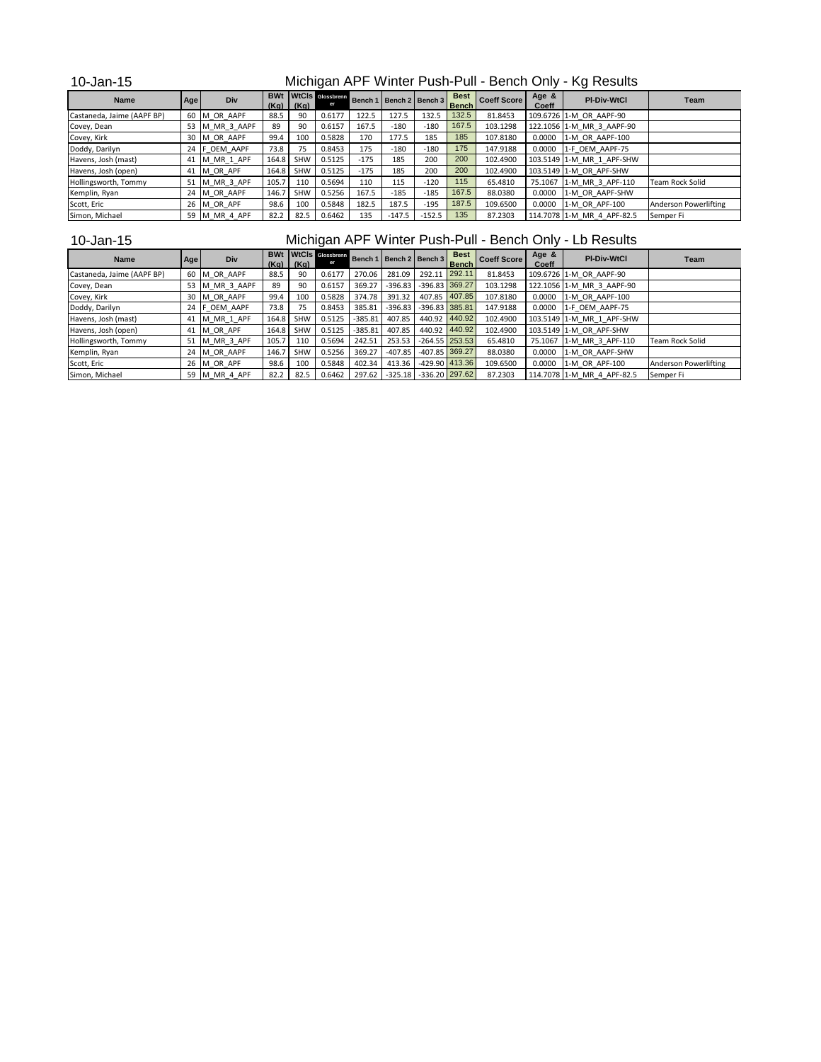| 10-Jan-15   | Michigan APF Winter Push-Pull - Bench Only - Kg Results<br>BWt WtCls Glossbrenn Bench 1 Bench 2 Bench 3 Best Coeff Score   Age of 1 |  |  |  |  |  |  |  |  |  |  |                    |  |
|-------------|-------------------------------------------------------------------------------------------------------------------------------------|--|--|--|--|--|--|--|--|--|--|--------------------|--|
| <b>Name</b> | Age                                                                                                                                 |  |  |  |  |  |  |  |  |  |  | <b>PI-Div-WtCl</b> |  |

| <b>Name</b>                | Age | Div            |       | $(Kq)$ $(Kq)$ |        |        |          | Bench 1   Bench 2   Bench 3 | <b>Bench</b> | l Coeff Score I | Coeff  | <b>PI-DIV-WtCl</b>         | Team                   |
|----------------------------|-----|----------------|-------|---------------|--------|--------|----------|-----------------------------|--------------|-----------------|--------|----------------------------|------------------------|
| Castaneda, Jaime (AAPF BP) |     | 60 M OR AAPF   | 88.5  | 90            | 0.6177 | 122.5  | 127.5    | 132.5                       | 132.5        | 81.8453         |        | 109.6726 1-M OR AAPF-90    |                        |
| Covey, Dean                |     | 53 M MR 3 AAPF | 89    | 90            | 0.6157 | 167.5  | $-180$   | $-180$                      | 167.5        | 103.1298        |        | 122.1056 1-M MR 3 AAPF-90  |                        |
| Covey, Kirk                |     | 30 M OR AAPF   | 99.4  | 100           | 0.5828 | 170    | 177.5    | 185                         | 185          | 107.8180        |        | 0.0000 1-M OR AAPF-100     |                        |
| Doddy, Darilyn             |     | 24 F OEM AAPF  | 73.8  | 75            | 0.8453 | 175    | $-180$   | $-180$                      | 175          | 147.9188        |        | 0.0000 1-F OEM AAPF-75     |                        |
| Havens, Josh (mast)        | 41  | M MR 1 APF     | 164.8 | SHW           | 0.5125 | $-175$ | 185      | 200                         | 200          | 102.4900        |        | 103.5149 1-M MR 1 APF-SHW  |                        |
| Havens, Josh (open)        |     | 41 M OR APF    | 164.8 | SHW           | 0.5125 | $-175$ | 185      | 200                         | 200          | 102.4900        |        | 103.5149 1-M OR APF-SHW    |                        |
| Hollingsworth, Tommy       | 51  | M MR 3 APF     | 105.7 | 110           | 0.5694 | 110    | 115      | $-120$                      | 115          | 65.4810         |        | 75.1067 1-M MR 3 APF-110   | <b>Team Rock Solid</b> |
| Kemplin, Ryan              | 24  | M OR AAPF      | 146.7 | <b>SHW</b>    | 0.5256 | 167.5  | $-185$   | $-185$                      | 167.5        | 88.0380         | 0.0000 | 1-M OR AAPF-SHW            |                        |
| Scott, Eric                |     | 26 M OR APF    | 98.6  | 100           | 0.5848 | 182.5  | 187.5    | $-195$                      | 187.5        | 109.6500        |        | 0.0000 1-M OR APF-100      | Anderson Powerlifting  |
| Simon, Michael             | 59  | M MR 4 APF     | 82.2  | 82.5          | 0.6462 | 135    | $-147.5$ | $-152.5$                    | 135          | 87.2303         |        | 114.7078 1-M MR 4 APF-82.5 | Semper Fi              |

## 10-Jan-15

Michigan APF Winter Push-Pull - Bench Only - Lb Results

| <b>Name</b>                | Age | Div         | <b>BWt</b><br>(Kq) | (Kg)       | <b>WtCIs</b> Glossbrenn |           | Bench 1   Bench 2   Bench 3 |                            | <b>Best</b><br><b>Bench</b> | <b>Coeff Score</b> | Age &<br>Coeff | <b>PI-Div-WtCl</b>         | Team                         |
|----------------------------|-----|-------------|--------------------|------------|-------------------------|-----------|-----------------------------|----------------------------|-----------------------------|--------------------|----------------|----------------------------|------------------------------|
| Castaneda, Jaime (AAPF BP) | 60  | M OR AAPF   | 88.5               | 90         | 0.6177                  | 270.06    | 281.09                      | 292.11                     | 292.11                      | 81.8453            |                | 109.6726 1-M OR AAPF-90    |                              |
| Covey, Dean                | 53  | M MR 3 AAPF | 89                 | 90         | 0.6157                  | 369.27    | $-396.83$                   | $-396.83$ 369.27           |                             | 103.1298           |                | 122.1056 1-M MR 3 AAPF-90  |                              |
| Covey, Kirk                | 30  | M OR AAPF   | 99.4               | 100        | 0.5828                  | 374.78    | 391.32                      |                            | 407.85 407.85               | 107.8180           | 0.0000         | 1-M OR AAPF-100            |                              |
| Doddy, Darilyn             | 24  | F OEM AAPF  | 73.8               | 75         | 0.8453                  | 385.81    | $-396.83$                   | $-396.83$ 385.81           |                             | 147.9188           | 0.0000         | 1-F OEM AAPF-75            |                              |
| Havens, Josh (mast)        | 41  | M MR 1 APF  | 164.8              | <b>SHW</b> | 0.5125                  | $-385.81$ | 407.85                      | 440.92                     | 440.92                      | 102.4900           |                | 103.5149 1-M MR 1 APF-SHW  |                              |
| Havens, Josh (open)        | 41  | M OR APF    | 164.8              | SHW        | 0.5125                  | $-385.81$ | 407.85                      | 440.92                     | 440.92                      | 102.4900           |                | 103.5149 1-M OR APF-SHW    |                              |
| Hollingsworth, Tommy       | 51  | M MR 3 APF  | 105.7              | 110        | 0.5694                  | 242.51    | 253.53                      | $-264.55$ 253.53           |                             | 65.4810            |                | 75.1067 1-M MR 3 APF-110   | <b>Team Rock Solid</b>       |
| Kemplin, Ryan              | 24  | M OR AAPF   | 146.7              | SHW        | 0.5256                  | 369.27    | $-407.85$                   | $-407.85$ 369.27           |                             | 88.0380            | 0.0000         | 1-M OR AAPF-SHW            |                              |
| Scott, Eric                |     | 26 M OR APF | 98.6               | 100        | 0.5848                  | 402.34    | 413.36                      | $-429.90$ 413.36           |                             | 109.6500           | 0.0000         | 1-M OR APF-100             | <b>Anderson Powerlifting</b> |
| Simon, Michael             | 59  | M MR 4 APF  | 82.2               | 82.5       | 0.6462                  | 297.62    |                             | $-325.18$ $-336.20$ 297.62 |                             | 87.2303            |                | 114.7078 1-M MR 4 APF-82.5 | Semper Fi                    |